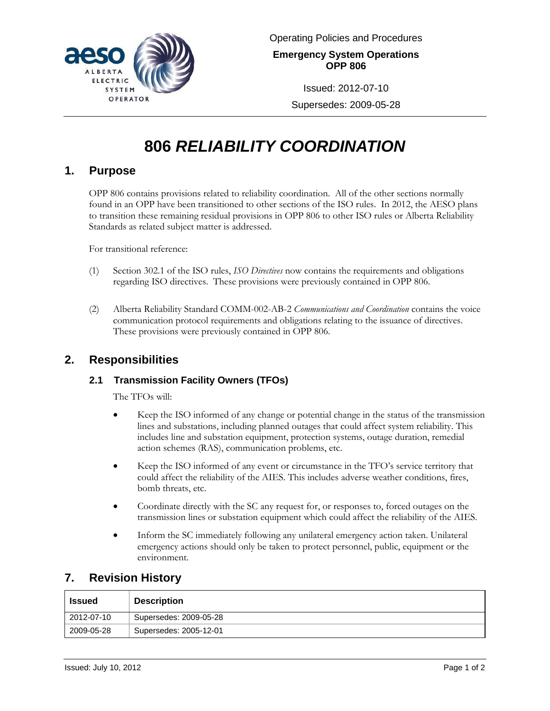

Issued: 2012-07-10

Supersedes: 2009-05-28

# **806** *RELIABILITY COORDINATION*

#### **1. Purpose**

OPP 806 contains provisions related to reliability coordination. All of the other sections normally found in an OPP have been transitioned to other sections of the ISO rules. In 2012, the AESO plans to transition these remaining residual provisions in OPP 806 to other ISO rules or Alberta Reliability Standards as related subject matter is addressed.

For transitional reference:

- (1) Section 302.1 of the ISO rules, *ISO Directives* now contains the requirements and obligations regarding ISO directives. These provisions were previously contained in OPP 806.
- (2) Alberta Reliability Standard COMM-002-AB-2 *Communications and Coordination* contains the voice communication protocol requirements and obligations relating to the issuance of directives. These provisions were previously contained in OPP 806.

## **2. Responsibilities**

#### **2.1 Transmission Facility Owners (TFOs)**

The TFOs will:

- Keep the ISO informed of any change or potential change in the status of the transmission lines and substations, including planned outages that could affect system reliability. This includes line and substation equipment, protection systems, outage duration, remedial action schemes (RAS), communication problems, etc.
- Keep the ISO informed of any event or circumstance in the TFO's service territory that could affect the reliability of the AIES. This includes adverse weather conditions, fires, bomb threats, etc.
- Coordinate directly with the SC any request for, or responses to, forced outages on the transmission lines or substation equipment which could affect the reliability of the AIES.
- Inform the SC immediately following any unilateral emergency action taken. Unilateral emergency actions should only be taken to protect personnel, public, equipment or the environment.

## **7. Revision History**

| <b>Issued</b> | <b>Description</b>     |
|---------------|------------------------|
| 2012-07-10    | Supersedes: 2009-05-28 |
| 2009-05-28    | Supersedes: 2005-12-01 |